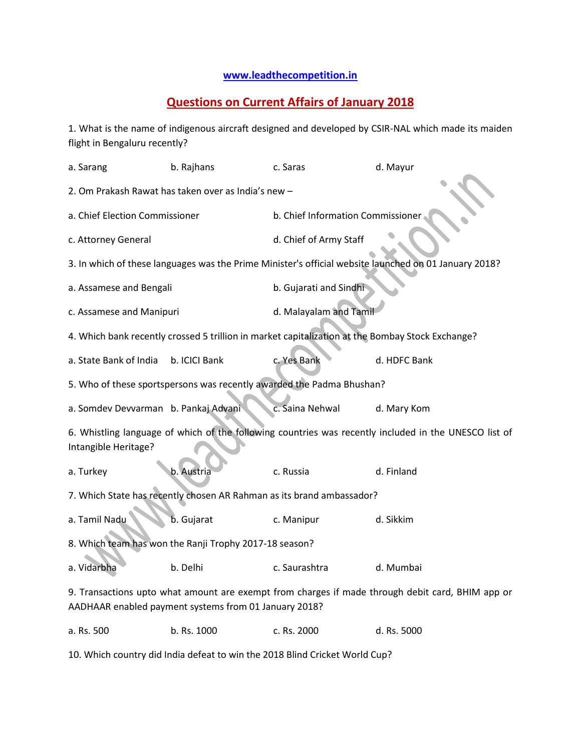## **[www.leadthecompetition.in](http://www.leadthecompetition.in/)**

## **Questions on Current Affairs of January 2018**

1. What is the name of indigenous aircraft designed and developed by CSIR-NAL which made its maiden flight in Bengaluru recently?

| b. Rajhans                                                                                                                                                | c. Saras                                                                                              | d. Mayur                                                                                         |  |  |  |  |
|-----------------------------------------------------------------------------------------------------------------------------------------------------------|-------------------------------------------------------------------------------------------------------|--------------------------------------------------------------------------------------------------|--|--|--|--|
| 2. Om Prakash Rawat has taken over as India's new -                                                                                                       |                                                                                                       |                                                                                                  |  |  |  |  |
| a. Chief Election Commissioner                                                                                                                            |                                                                                                       | b. Chief Information Commissioner.                                                               |  |  |  |  |
|                                                                                                                                                           | d. Chief of Army Staff                                                                                |                                                                                                  |  |  |  |  |
|                                                                                                                                                           | 3. In which of these languages was the Prime Minister's official website launched on 01 January 2018? |                                                                                                  |  |  |  |  |
| a. Assamese and Bengali                                                                                                                                   | b. Gujarati and Sindhi                                                                                |                                                                                                  |  |  |  |  |
| c. Assamese and Manipuri                                                                                                                                  |                                                                                                       | d. Malayalam and Tamil                                                                           |  |  |  |  |
|                                                                                                                                                           |                                                                                                       |                                                                                                  |  |  |  |  |
| b. ICICI Bank                                                                                                                                             | c. Yes Bank                                                                                           | d. HDFC Bank                                                                                     |  |  |  |  |
| 5. Who of these sportspersons was recently awarded the Padma Bhushan?                                                                                     |                                                                                                       |                                                                                                  |  |  |  |  |
| a. Somdev Devvarman b. Pankaj Advani                                                                                                                      | c. Saina Nehwal                                                                                       | d. Mary Kom                                                                                      |  |  |  |  |
| 6. Whistling language of which of the following countries was recently included in the UNESCO list of<br>Intangible Heritage?                             |                                                                                                       |                                                                                                  |  |  |  |  |
| b. Austria                                                                                                                                                | c. Russia                                                                                             | d. Finland                                                                                       |  |  |  |  |
| 7. Which State has recently chosen AR Rahman as its brand ambassador?                                                                                     |                                                                                                       |                                                                                                  |  |  |  |  |
| b. Gujarat                                                                                                                                                | c. Manipur                                                                                            | d. Sikkim                                                                                        |  |  |  |  |
| 8. Which team has won the Ranji Trophy 2017-18 season?                                                                                                    |                                                                                                       |                                                                                                  |  |  |  |  |
| b. Delhi                                                                                                                                                  | c. Saurashtra                                                                                         | d. Mumbai                                                                                        |  |  |  |  |
| 9. Transactions upto what amount are exempt from charges if made through debit card, BHIM app or<br>AADHAAR enabled payment systems from 01 January 2018? |                                                                                                       |                                                                                                  |  |  |  |  |
| b. Rs. 1000                                                                                                                                               | c. Rs. 2000                                                                                           | d. Rs. 5000                                                                                      |  |  |  |  |
|                                                                                                                                                           |                                                                                                       | 4. Which bank recently crossed 5 trillion in market capitalization at the Bombay Stock Exchange? |  |  |  |  |

10. Which country did India defeat to win the 2018 Blind Cricket World Cup?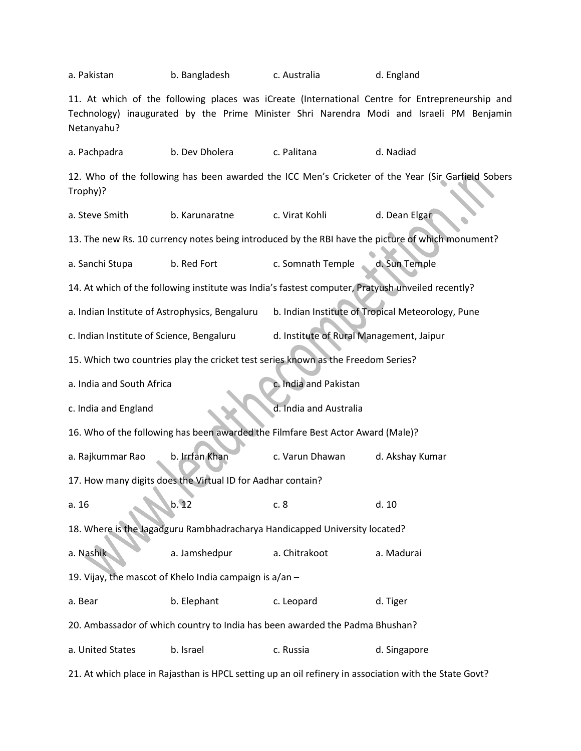| a. Pakistan                                                                                                                                                                                               | b. Bangladesh                                               | c. Australia                                                                    | d. England                                                                                         |  |  |  |
|-----------------------------------------------------------------------------------------------------------------------------------------------------------------------------------------------------------|-------------------------------------------------------------|---------------------------------------------------------------------------------|----------------------------------------------------------------------------------------------------|--|--|--|
| 11. At which of the following places was iCreate (International Centre for Entrepreneurship and<br>Technology) inaugurated by the Prime Minister Shri Narendra Modi and Israeli PM Benjamin<br>Netanyahu? |                                                             |                                                                                 |                                                                                                    |  |  |  |
| a. Pachpadra                                                                                                                                                                                              | b. Dev Dholera                                              | c. Palitana                                                                     | d. Nadiad                                                                                          |  |  |  |
| Trophy)?                                                                                                                                                                                                  |                                                             |                                                                                 | 12. Who of the following has been awarded the ICC Men's Cricketer of the Year (Sir Garfield Sobers |  |  |  |
| a. Steve Smith                                                                                                                                                                                            | b. Karunaratne                                              | c. Virat Kohli                                                                  | d. Dean Elgar                                                                                      |  |  |  |
|                                                                                                                                                                                                           |                                                             |                                                                                 | 13. The new Rs. 10 currency notes being introduced by the RBI have the picture of which monument?  |  |  |  |
| a. Sanchi Stupa                                                                                                                                                                                           | b. Red Fort                                                 | c. Somnath Temple                                                               | d. Sun Temple                                                                                      |  |  |  |
|                                                                                                                                                                                                           |                                                             |                                                                                 | 14. At which of the following institute was India's fastest computer, Pratyush unveiled recently?  |  |  |  |
| a. Indian Institute of Astrophysics, Bengaluru                                                                                                                                                            |                                                             |                                                                                 | b. Indian Institute of Tropical Meteorology, Pune                                                  |  |  |  |
| d. Institute of Rural Management, Jaipur<br>c. Indian Institute of Science, Bengaluru                                                                                                                     |                                                             |                                                                                 |                                                                                                    |  |  |  |
| 15. Which two countries play the cricket test series known as the Freedom Series?                                                                                                                         |                                                             |                                                                                 |                                                                                                    |  |  |  |
|                                                                                                                                                                                                           |                                                             |                                                                                 |                                                                                                    |  |  |  |
| a. India and South Africa                                                                                                                                                                                 |                                                             | c. India and Pakistan                                                           |                                                                                                    |  |  |  |
| c. India and England                                                                                                                                                                                      |                                                             | d. India and Australia                                                          |                                                                                                    |  |  |  |
|                                                                                                                                                                                                           |                                                             | 16. Who of the following has been awarded the Filmfare Best Actor Award (Male)? |                                                                                                    |  |  |  |
| a. Rajkummar Rao                                                                                                                                                                                          | b. Irrfan Khan                                              | c. Varun Dhawan                                                                 | d. Akshay Kumar                                                                                    |  |  |  |
|                                                                                                                                                                                                           | 17. How many digits does the Virtual ID for Aadhar contain? |                                                                                 |                                                                                                    |  |  |  |
| a.16                                                                                                                                                                                                      | b.12                                                        | c.8                                                                             | d. 10                                                                                              |  |  |  |
|                                                                                                                                                                                                           |                                                             | 18. Where is the Jagadguru Rambhadracharya Handicapped University located?      |                                                                                                    |  |  |  |
| a. Nashik                                                                                                                                                                                                 | a. Jamshedpur                                               | a. Chitrakoot                                                                   | a. Madurai                                                                                         |  |  |  |
|                                                                                                                                                                                                           | 19. Vijay, the mascot of Khelo India campaign is a/an -     |                                                                                 |                                                                                                    |  |  |  |
| a. Bear                                                                                                                                                                                                   | b. Elephant                                                 | c. Leopard                                                                      | d. Tiger                                                                                           |  |  |  |
|                                                                                                                                                                                                           |                                                             | 20. Ambassador of which country to India has been awarded the Padma Bhushan?    |                                                                                                    |  |  |  |
| a. United States                                                                                                                                                                                          | b. Israel                                                   | c. Russia                                                                       | d. Singapore                                                                                       |  |  |  |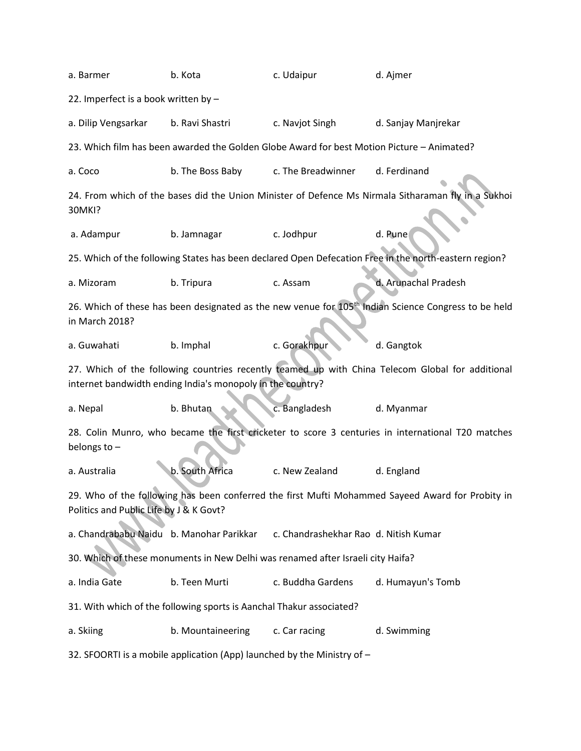| a. Barmer                                                                                                                                                      | b. Kota                                                                                                          | c. Udaipur                            | d. Ajmer                                                                                              |  |  |  |
|----------------------------------------------------------------------------------------------------------------------------------------------------------------|------------------------------------------------------------------------------------------------------------------|---------------------------------------|-------------------------------------------------------------------------------------------------------|--|--|--|
| 22. Imperfect is a book written by -                                                                                                                           |                                                                                                                  |                                       |                                                                                                       |  |  |  |
| a. Dilip Vengsarkar                                                                                                                                            | b. Ravi Shastri                                                                                                  | c. Navjot Singh                       | d. Sanjay Manjrekar                                                                                   |  |  |  |
|                                                                                                                                                                | 23. Which film has been awarded the Golden Globe Award for best Motion Picture - Animated?                       |                                       |                                                                                                       |  |  |  |
| a. Coco                                                                                                                                                        | b. The Boss Baby                                                                                                 | c. The Breadwinner                    | d. Ferdinand                                                                                          |  |  |  |
| 30MKI?                                                                                                                                                         |                                                                                                                  |                                       | 24. From which of the bases did the Union Minister of Defence Ms Nirmala Sitharaman fly in a Sukhoi   |  |  |  |
| a. Adampur                                                                                                                                                     | b. Jamnagar                                                                                                      | c. Jodhpur                            | d. Pune                                                                                               |  |  |  |
|                                                                                                                                                                |                                                                                                                  |                                       | 25. Which of the following States has been declared Open Defecation Free in the north-eastern region? |  |  |  |
| a. Mizoram                                                                                                                                                     | b. Tripura                                                                                                       | c. Assam                              | d. Arunachal Pradesh                                                                                  |  |  |  |
| in March 2018?                                                                                                                                                 | 26. Which of these has been designated as the new venue for 105 <sup>th</sup> Indian Science Congress to be held |                                       |                                                                                                       |  |  |  |
| a. Guwahati                                                                                                                                                    | b. Imphal                                                                                                        | c. Gorakhpur                          | d. Gangtok                                                                                            |  |  |  |
| 27. Which of the following countries recently teamed up with China Telecom Global for additional<br>internet bandwidth ending India's monopoly in the country? |                                                                                                                  |                                       |                                                                                                       |  |  |  |
| a. Nepal                                                                                                                                                       | b. Bhutan                                                                                                        | c. Bangladesh                         | d. Myanmar                                                                                            |  |  |  |
| 28. Colin Munro, who became the first cricketer to score 3 centuries in international T20 matches<br>belongs to $-$                                            |                                                                                                                  |                                       |                                                                                                       |  |  |  |
| a. Australia                                                                                                                                                   | b. South Africa                                                                                                  | c. New Zealand                        | d. England                                                                                            |  |  |  |
| 29. Who of the following has been conferred the first Mufti Mohammed Sayeed Award for Probity in<br>Politics and Public Life by J & K Govt?                    |                                                                                                                  |                                       |                                                                                                       |  |  |  |
| a. Chandrababu Naidu b. Manohar Parikkar                                                                                                                       |                                                                                                                  | c. Chandrashekhar Rao d. Nitish Kumar |                                                                                                       |  |  |  |
| 30. Which of these monuments in New Delhi was renamed after Israeli city Haifa?                                                                                |                                                                                                                  |                                       |                                                                                                       |  |  |  |
| a. India Gate                                                                                                                                                  | b. Teen Murti                                                                                                    | c. Buddha Gardens                     | d. Humayun's Tomb                                                                                     |  |  |  |
|                                                                                                                                                                | 31. With which of the following sports is Aanchal Thakur associated?                                             |                                       |                                                                                                       |  |  |  |
| a. Skiing                                                                                                                                                      | b. Mountaineering                                                                                                | c. Car racing                         | d. Swimming                                                                                           |  |  |  |
| 32. SFOORTI is a mobile application (App) launched by the Ministry of -                                                                                        |                                                                                                                  |                                       |                                                                                                       |  |  |  |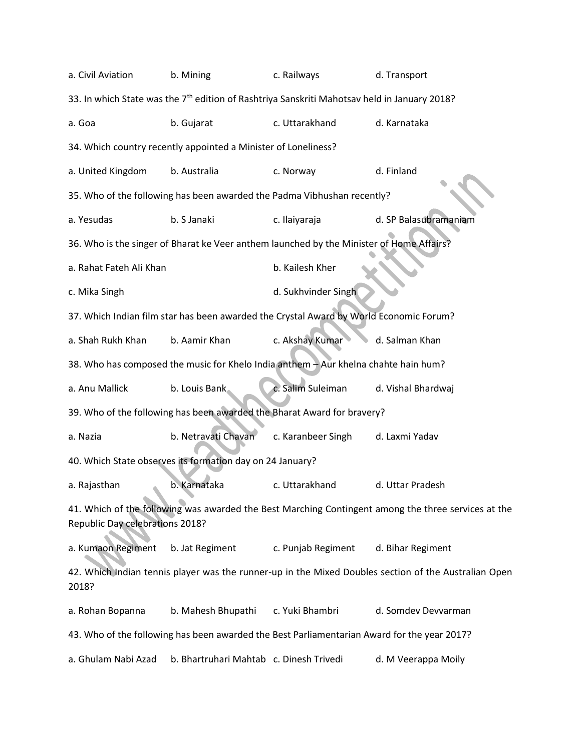| a. Civil Aviation                                                                                        | b. Mining                                                                                   | c. Railways         | d. Transport                                                                                         |  |  |  |
|----------------------------------------------------------------------------------------------------------|---------------------------------------------------------------------------------------------|---------------------|------------------------------------------------------------------------------------------------------|--|--|--|
| 33. In which State was the 7 <sup>th</sup> edition of Rashtriya Sanskriti Mahotsav held in January 2018? |                                                                                             |                     |                                                                                                      |  |  |  |
| a. Goa                                                                                                   | b. Gujarat                                                                                  | c. Uttarakhand      | d. Karnataka                                                                                         |  |  |  |
|                                                                                                          | 34. Which country recently appointed a Minister of Loneliness?                              |                     |                                                                                                      |  |  |  |
| a. United Kingdom                                                                                        | b. Australia                                                                                | c. Norway           | d. Finland                                                                                           |  |  |  |
|                                                                                                          | 35. Who of the following has been awarded the Padma Vibhushan recently?                     |                     |                                                                                                      |  |  |  |
| a. Yesudas                                                                                               | b. S Janaki                                                                                 | c. Ilaiyaraja       | d. SP Balasubramaniam                                                                                |  |  |  |
|                                                                                                          | 36. Who is the singer of Bharat ke Veer anthem launched by the Minister of Home Affairs?    |                     |                                                                                                      |  |  |  |
| a. Rahat Fateh Ali Khan                                                                                  |                                                                                             | b. Kailesh Kher     |                                                                                                      |  |  |  |
| c. Mika Singh                                                                                            |                                                                                             | d. Sukhvinder Singh |                                                                                                      |  |  |  |
| 37. Which Indian film star has been awarded the Crystal Award by World Economic Forum?                   |                                                                                             |                     |                                                                                                      |  |  |  |
| a. Shah Rukh Khan                                                                                        | b. Aamir Khan                                                                               | c. Akshay Kumar     | d. Salman Khan                                                                                       |  |  |  |
| 38. Who has composed the music for Khelo India anthem - Aur khelna chahte hain hum?                      |                                                                                             |                     |                                                                                                      |  |  |  |
| a. Anu Mallick                                                                                           | b. Louis Bank                                                                               | c. Salim Suleiman   | d. Vishal Bhardwaj                                                                                   |  |  |  |
|                                                                                                          | 39. Who of the following has been awarded the Bharat Award for bravery?                     |                     |                                                                                                      |  |  |  |
| a. Nazia                                                                                                 | b. Netravati Chavan                                                                         | c. Karanbeer Singh  | d. Laxmi Yadav                                                                                       |  |  |  |
| 40. Which State observes its formation day on 24 January?                                                |                                                                                             |                     |                                                                                                      |  |  |  |
| a. Rajasthan                                                                                             | b. Karnataka                                                                                | c. Uttarakhand      | d. Uttar Pradesh                                                                                     |  |  |  |
| Republic Day celebrations 2018?                                                                          |                                                                                             |                     | 41. Which of the following was awarded the Best Marching Contingent among the three services at the  |  |  |  |
| a. Kumaon Regiment                                                                                       | b. Jat Regiment                                                                             | c. Punjab Regiment  | d. Bihar Regiment                                                                                    |  |  |  |
| 2018?                                                                                                    |                                                                                             |                     | 42. Which Indian tennis player was the runner-up in the Mixed Doubles section of the Australian Open |  |  |  |
| a. Rohan Bopanna                                                                                         | b. Mahesh Bhupathi                                                                          | c. Yuki Bhambri     | d. Somdev Devvarman                                                                                  |  |  |  |
|                                                                                                          | 43. Who of the following has been awarded the Best Parliamentarian Award for the year 2017? |                     |                                                                                                      |  |  |  |
| a. Ghulam Nabi Azad                                                                                      | b. Bhartruhari Mahtab c. Dinesh Trivedi                                                     |                     | d. M Veerappa Moily                                                                                  |  |  |  |